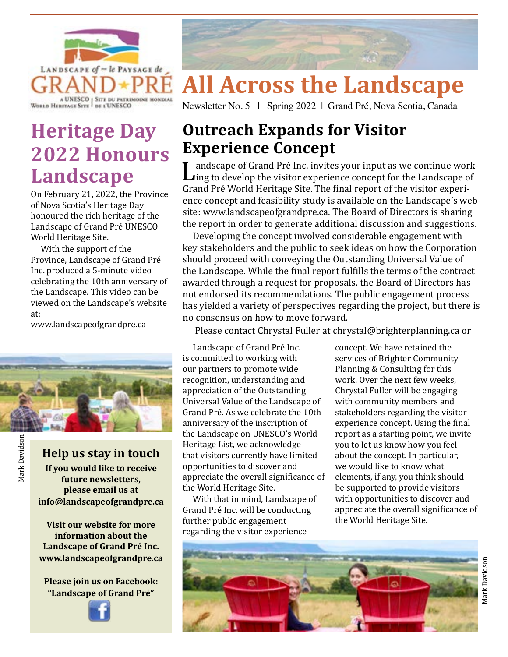

# **All Across the Landscape**

Newsletter No. 5 | Spring 2022 | Grand Pré, Nova Scotia, Canada

# **Heritage Day 2022 Honours Landscape**

On February 21, 2022, the Province of Nova Scotia's Heritage Day honoured the rich heritage of the Landscape of Grand Pré UNESCO World Heritage Site.

With the support of the Province, Landscape of Grand Pré Inc. produced a 5-minute video celebrating the 10th anniversary of the Landscape. This video can be viewed on the Landscape's website at:

www.landscapeofgrandpre.ca



#### **Help us stay in touch If you would like to receive future newsletters, please email us at info@landscapeofgrandpre.ca**

**Visit our website for more information about the Landscape of Grand Pré Inc. www.landscapeofgrandpre.ca**

**Please join us on Facebook: "Landscape of Grand Pré"**



### **Outreach Expands for Visitor Experience Concept**

I andscape of Grand Pré Inc. invites your input as we continue work-<br>Ling to develop the visitor experience concept for the Landscape of<br>Grand Pré World Heritage Site. The final report of the visitor experiing to develop the visitor experience concept for the Landscape of Grand Pré World Heritage Site. The final report of the visitor experience concept and feasibility study is available on the Landscape's website: www.landscapeofgrandpre.ca. The Board of Directors is sharing the report in order to generate additional discussion and suggestions.

Developing the concept involved considerable engagement with key stakeholders and the public to seek ideas on how the Corporation should proceed with conveying the Outstanding Universal Value of the Landscape. While the final report fulfills the terms of the contract awarded through a request for proposals, the Board of Directors has not endorsed its recommendations. The public engagement process has yielded a variety of perspectives regarding the project, but there is no consensus on how to move forward.

Please contact Chrystal Fuller at chrystal@brighterplanning.ca or

Landscape of Grand Pré Inc. is committed to working with our partners to promote wide recognition, understanding and appreciation of the Outstanding Universal Value of the Landscape of Grand Pré. As we celebrate the 10th anniversary of the inscription of the Landscape on UNESCO's World Heritage List, we acknowledge that visitors currently have limited opportunities to discover and appreciate the overall significance of the World Heritage Site.

With that in mind, Landscape of Grand Pré Inc. will be conducting further public engagement regarding the visitor experience

concept. We have retained the services of Brighter Community Planning & Consulting for this work. Over the next few weeks, Chrystal Fuller will be engaging with community members and stakeholders regarding the visitor experience concept. Using the final report as a starting point, we invite you to let us know how you feel about the concept. In particular, we would like to know what elements, if any, you think should be supported to provide visitors with opportunities to discover and appreciate the overall significance of the World Heritage Site.

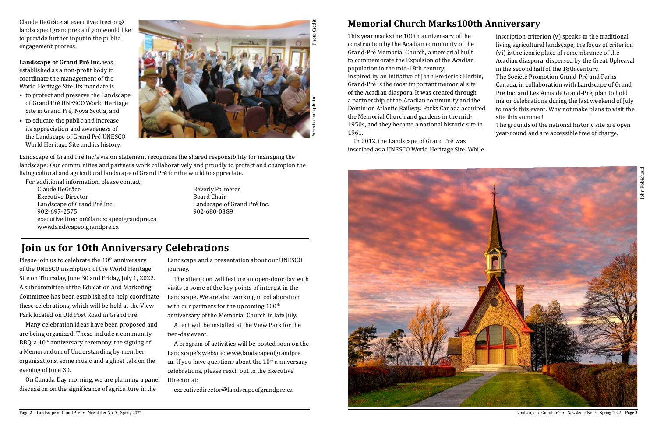Claude DeGrâce at executivedirector@ landscapeofgrandpre.ca if you would like to provide further input in the public engagement process.

**Landscape of Grand Pré Inc.** was established as a non-profit body to coordinate the management of the World Heritage Site. Its mandate is

- to protect and preserve the Landscape of Grand Pré UNESCO World Heritage Site in Grand Pré, Nova Scotia, and
- to educate the public and increase its appreciation and awareness of the Landscape of Grand Pré UNESCO World Heritage Site and its history.

Executive Director<br>Landscape of Grand Pré Inc. Landscape of Grand Pré Inc. Landscape of Grand Pré Inc. executivedirector@landscapeofgrandpre.ca www.landscapeofgrandpre.ca

Beverly Palmeter<br>Board Chair 902-680-0389

Landscape of Grand Pré Inc.'s vision statement recognizes the shared responsibility for managing the landscape: Our communities and partners work collaboratively and proudly to protect and champion the living cultural and agricultural landscape of Grand Pré for the world to appreciate.

For additional information, please contact:<br>Claude DeGrâce

Please join us to celebrate the  $10<sup>th</sup>$  anniversary of the UNESCO inscription of the World Heritage Site on Thursday, June 30 and Friday, July 1, 2022. A subcommittee of the Education and Marketing Committee has been established to help coordinate these celebrations, which will be held at the View Park located on Old Post Road in Grand Pré.

In 2012, the Landscape of Grand Pré was inscribed as a UNESCO World Heritage Site. While



This year marks the 100th anniversary of the construction by the Acadian community of the Grand-Pré Memorial Church, a memorial built to commemorate the Expulsion of the Acadian population in the mid-18th century. Inspired by an initiative of John Frederick Herbin, Grand-Pré is the most important memorial site of the Acadian diaspora. It was created through a partnership of the Acadian community and the Dominion Atlantic Railway. Parks Canada acquired the Memorial Church and gardens in the mid-1950s, and they became a national historic site in 1961. inscription criterion (v) speaks to the traditional living agricultural landscape, the focus of criterion (vi) is the iconic place of remembrance of the in the second half of the 18th century. The Société Promotion Grand-Pré and Parks Canada, in collaboration with Landscape of Grand Pré Inc. and Les Amis de Grand-Pré, plan to hold to mark this event. Why not make plans to visit the site this summer! The grounds of the national historic site are open year-round and are accessible free of charge.

> John Robichaud ohn Robichauc

Acadian diaspora, dispersed by the Great Upheaval

major celebrations during the last weekend of July

Many celebration ideas have been proposed and are being organized. These include a community BBQ, a  $10<sup>th</sup>$  anniversary ceremony, the signing of a Memorandum of Understanding by member organizations, some music and a ghost talk on the evening of June 30.

On Canada Day morning, we are planning a panel discussion on the significance of agriculture in the

Landscape and a presentation about our UNESCO journey.

The afternoon will feature an open-door day with visits to some of the key points of interest in the Landscape. We are also working in collaboration with our partners for the upcoming  $100<sup>th</sup>$ anniversary of the Memorial Church in late July.

A tent will be installed at the View Park for the two-day event.

A program of activities will be posted soon on the Landscape's website: www.landscapeofgrandpre. ca. If you have questions about the  $10<sup>th</sup>$  anniversary celebrations, please reach out to the Executive Director at:

executivedirector@landscapeofgrandpre.ca

## **Join us for 10th Anniversary Celebrations**

#### **Memorial Church Marks100th Anniversary**